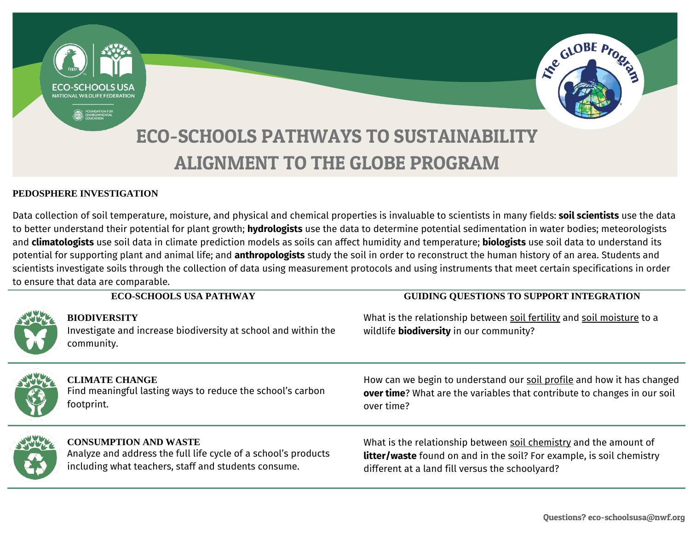



# ECO-SCHOOLS PATHWAYS TO SUSTAINABILITY ALIGNMENT TO THE GLOBE PROGRAM

#### **PEDOSPHERE INVESTIGATION**

Data collection of soil temperature, moisture, and physical and chemical properties is invaluable to scientists in many fields: **soil scientists** use the data to better understand their potential for plant growth; **hydrologists** use the data to determine potential sedimentation in water bodies; meteorologists and **climatologists** use soil data in climate prediction models as soils can affect humidity and temperature; **biologists** use soil data to understand its potential for supporting plant and animal life; and **anthropologists** study the soil in order to reconstruct the human history of an area. Students and scientists investigate soils through the collection of data using measurement protocols and using instruments that meet certain specifications in order to ensure that data are comparable.

|              | <b>ECO-SCHOOLS USA PATHWAY</b>                                                                                                                         | <b>GUIDING QUESTIONS TO SUPPORT INTEGRATION</b>                                                                                                                                                      |
|--------------|--------------------------------------------------------------------------------------------------------------------------------------------------------|------------------------------------------------------------------------------------------------------------------------------------------------------------------------------------------------------|
| <b>SHEEP</b> | <b>BIODIVERSITY</b><br>Investigate and increase biodiversity at school and within the<br>community.                                                    | What is the relationship between soil fertility and soil moisture to a<br>wildlife <b>biodiversity</b> in our community?                                                                             |
| SATE         | <b>CLIMATE CHANGE</b><br>Find meaningful lasting ways to reduce the school's carbon<br>footprint.                                                      | How can we begin to understand our soil profile and how it has changed<br>over time? What are the variables that contribute to changes in our soil<br>over time?                                     |
| <b>RACK</b>  | <b>CONSUMPTION AND WASTE</b><br>Analyze and address the full life cycle of a school's products<br>including what teachers, staff and students consume. | What is the relationship between soil chemistry and the amount of<br><b>litter/waste</b> found on and in the soil? For example, is soil chemistry<br>different at a land fill versus the schoolyard? |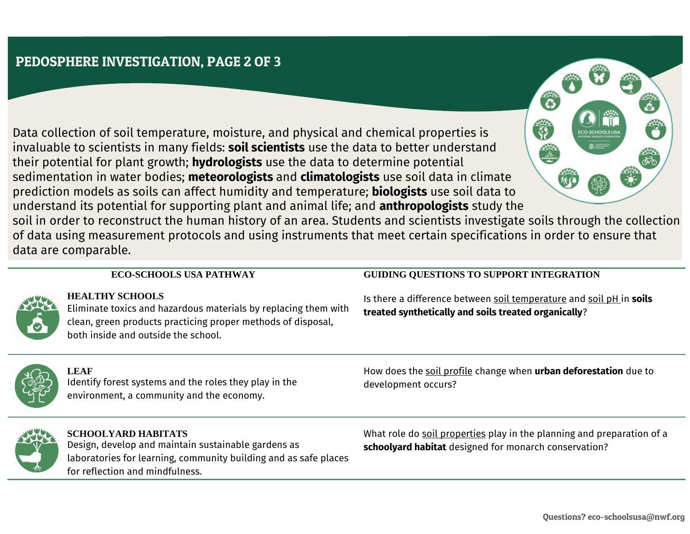# PEDOSPHERE INVESTIGATION, PAGE 2 OF 3

Data collection of soil temperature, moisture, and physical and chemical properties is invaluable to scientists in many fields: **soil scientists** use the data to better understand their potential for plant growth; **hydrologists** use the data to determine potential sedimentation in water bodies; **meteorologists** and **climatologists** use soil data in climate prediction models as soils can affect humidity and temperature; **biologists** use soil data to understand its potential for supporting plant and animal life; and **anthropologists** study the

soil in order to reconstruct the human history of an area. Students and scientists investigate soils through the collection of data using measurement protocols and using instruments that meet certain specifications in order to ensure that data are comparable.



**HEALTHY SCHOOLS** Eliminate toxics and hazardous materials by replacing them with clean, green products practicing proper methods of disposal, both inside and outside the school.

### **ECO-SCHOOLS USA PATHWAY GUIDING QUESTIONS TO SUPPORT INTEGRATION**

Is there a difference between soil temperature and soil pH in **soils treated synthetically and soils treated organically**?



**LEAF** Identify forest systems and the roles they play in the environment, a community and the economy.

How does the soil profile change when **urban deforestation** due to development occurs?



**SCHOOLYARD HABITATS** Design, develop and maintain sustainable gardens as laboratories for learning, community building and as safe places for reflection and mindfulness.

What role do soil properties play in the planning and preparation of a **schoolyard habitat** designed for monarch conservation?